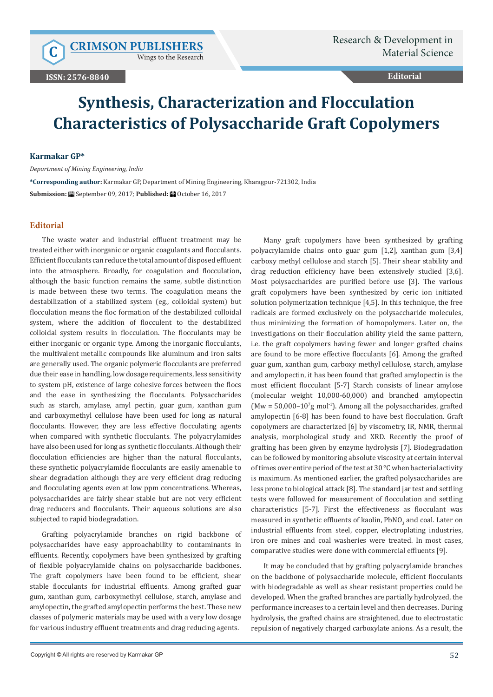Wings to the Research

## **Editorial**

# **Synthesis, Characterization and Flocculation Characteristics of Polysaccharide Graft Copolymers**

#### **Karmakar GP\***

*Department of Mining Engineering, India*

**\*Corresponding author:** Karmakar GP, Department of Mining Engineering, Kharagpur-721302, India **Submission:** September 09, 2017; **Published:** October 16, 2017

## **Editorial**

The waste water and industrial effluent treatment may be treated either with inorganic or organic coagulants and flocculants. Efficient flocculants can reduce the total amount of disposed effluent into the atmosphere. Broadly, for coagulation and flocculation, although the basic function remains the same, subtle distinction is made between these two terms. The coagulation means the destabilization of a stabilized system (eg., colloidal system) but flocculation means the floc formation of the destabilized colloidal system, where the addition of flocculent to the destabilized colloidal system results in flocculation. The flocculants may be either inorganic or organic type. Among the inorganic flocculants, the multivalent metallic compounds like aluminum and iron salts are generally used. The organic polymeric flocculants are preferred due their ease in handling, low dosage requirements, less sensitivity to system pH, existence of large cohesive forces between the flocs and the ease in synthesizing the flocculants. Polysaccharides such as starch, amylase, amyl pectin, guar gum, xanthan gum and carboxymethyl cellulose have been used for long as natural flocculants. However, they are less effective flocculating agents when compared with synthetic flocculants. The polyacrylamides have also been used for long as synthetic flocculants. Although their flocculation efficiencies are higher than the natural flocculants, these synthetic polyacrylamide flocculants are easily amenable to shear degradation although they are very efficient drag reducing and flocculating agents even at low ppm concentrations. Whereas, polysaccharides are fairly shear stable but are not very efficient drag reducers and flocculants. Their aqueous solutions are also subjected to rapid biodegradation.

Grafting polyacrylamide branches on rigid backbone of polysaccharides have easy approachability to contaminants in effluents. Recently, copolymers have been synthesized by grafting of flexible polyacrylamide chains on polysaccharide backbones. The graft copolymers have been found to be efficient, shear stable flocculants for industrial effluents. Among grafted guar gum, xanthan gum, carboxymethyl cellulose, starch, amylase and amylopectin, the grafted amylopectin performs the best. These new classes of polymeric materials may be used with a very low dosage for various industry effluent treatments and drag reducing agents.

Many graft copolymers have been synthesized by grafting polyacrylamide chains onto guar gum [1,2], xanthan gum [3,4] carboxy methyl cellulose and starch [5]. Their shear stability and drag reduction efficiency have been extensively studied [3,6]. Most polysaccharides are purified before use [3]. The various graft copolymers have been synthesized by ceric ion initiated solution polymerization technique [4,5]. In this technique, the free radicals are formed exclusively on the polysaccharide molecules, thus minimizing the formation of homopolymers. Later on, the investigations on their flocculation ability yield the same pattern, i.e. the graft copolymers having fewer and longer grafted chains are found to be more effective flocculants [6]. Among the grafted guar gum, xanthan gum, carboxy methyl cellulose, starch, amylase and amylopectin, it has been found that grafted amylopectin is the most efficient flocculant [5-7] Starch consists of linear amylose (molecular weight 10,000-60,000) and branched amylopectin  $(Mw = 50,000 - 10^{6}g$  mol<sup>-1</sup>). Among all the polysaccharides, grafted amylopectin [6-8] has been found to have best flocculation. Graft copolymers are characterized [6] by viscometry, IR, NMR, thermal analysis, morphological study and XRD. Recently the proof of grafting has been given by enzyme hydrolysis [7]. Biodegradation can be followed by monitoring absolute viscosity at certain interval of times over entire period of the test at 30 °C when bacterial activity is maximum. As mentioned earlier, the grafted polysaccharides are less prone to biological attack [8]. The standard jar test and settling tests were followed for measurement of flocculation and settling characteristics [5-7]. First the effectiveness as flocculant was measured in synthetic effluents of kaolin,  $\mathtt{PbNO}_3$  and coal. Later on industrial effluents from steel, copper, electroplating industries, iron ore mines and coal washeries were treated. In most cases, comparative studies were done with commercial effluents [9].

It may be concluded that by grafting polyacrylamide branches on the backbone of polysaccharide molecule, efficient flocculants with biodegradable as well as shear resistant properties could be developed. When the grafted branches are partially hydrolyzed, the performance increases to a certain level and then decreases. During hydrolysis, the grafted chains are straightened, due to electrostatic repulsion of negatively charged carboxylate anions. As a result, the